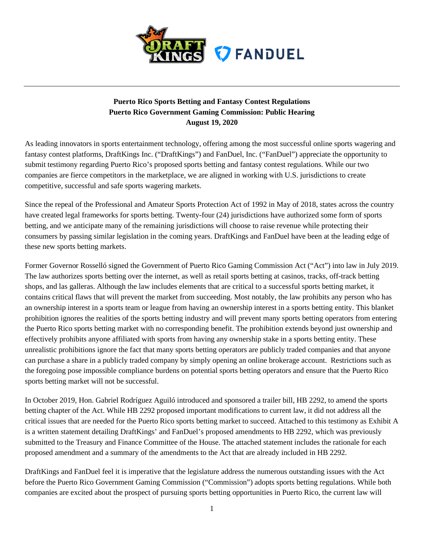

## **Puerto Rico Sports Betting and Fantasy Contest Regulations Puerto Rico Government Gaming Commission: Public Hearing August 19, 2020**

As leading innovators in sports entertainment technology, offering among the most successful online sports wagering and fantasy contest platforms, DraftKings Inc. ("DraftKings") and FanDuel, Inc. ("FanDuel") appreciate the opportunity to submit testimony regarding Puerto Rico's proposed sports betting and fantasy contest regulations. While our two companies are fierce competitors in the marketplace, we are aligned in working with U.S. jurisdictions to create competitive, successful and safe sports wagering markets.

Since the repeal of the Professional and Amateur Sports Protection Act of 1992 in May of 2018, states across the country have created legal frameworks for sports betting. Twenty-four (24) jurisdictions have authorized some form of sports betting, and we anticipate many of the remaining jurisdictions will choose to raise revenue while protecting their consumers by passing similar legislation in the coming years. DraftKings and FanDuel have been at the leading edge of these new sports betting markets.

Former Governor Rosselló signed the Government of Puerto Rico Gaming Commission Act ("Act") into law in July 2019. The law authorizes sports betting over the internet, as well as retail sports betting at casinos, tracks, off-track betting shops, and las galleras. Although the law includes elements that are critical to a successful sports betting market, it contains critical flaws that will prevent the market from succeeding. Most notably, the law prohibits any person who has an ownership interest in a sports team or league from having an ownership interest in a sports betting entity. This blanket prohibition ignores the realities of the sports betting industry and will prevent many sports betting operators from entering the Puerto Rico sports betting market with no corresponding benefit. The prohibition extends beyond just ownership and effectively prohibits anyone affiliated with sports from having any ownership stake in a sports betting entity. These unrealistic prohibitions ignore the fact that many sports betting operators are publicly traded companies and that anyone can purchase a share in a publicly traded company by simply opening an online brokerage account. Restrictions such as the foregoing pose impossible compliance burdens on potential sports betting operators and ensure that the Puerto Rico sports betting market will not be successful.

In October 2019, Hon. Gabriel Rodríguez Aguiló introduced and sponsored a trailer bill, HB 2292, to amend the sports betting chapter of the Act. While HB 2292 proposed important modifications to current law, it did not address all the critical issues that are needed for the Puerto Rico sports betting market to succeed. Attached to this testimony as Exhibit A is a written statement detailing DraftKings' and FanDuel's proposed amendments to HB 2292, which was previously submitted to the Treasury and Finance Committee of the House. The attached statement includes the rationale for each proposed amendment and a summary of the amendments to the Act that are already included in HB 2292.

DraftKings and FanDuel feel it is imperative that the legislature address the numerous outstanding issues with the Act before the Puerto Rico Government Gaming Commission ("Commission") adopts sports betting regulations. While both companies are excited about the prospect of pursuing sports betting opportunities in Puerto Rico, the current law will